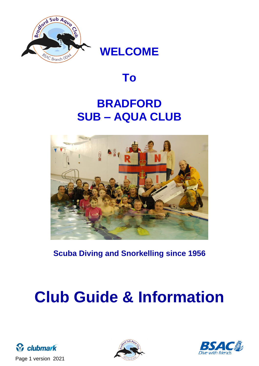

# **WELCOME**

# **To**

# **BRADFORD SUB – AQUA CLUB**



**Scuba Diving and Snorkelling since 1956**

# **Club Guide & Information**





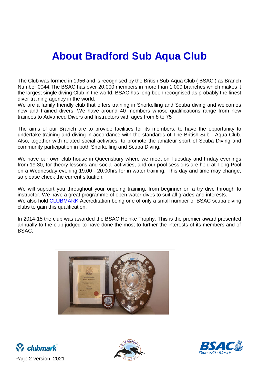# **About Bradford Sub Aqua Club**

The Club was formed in 1956 and is recognised by the British Sub-Aqua Club ( BSAC ) as Branch Number 0044.The BSAC has over 20,000 members in more than 1,000 branches which makes it the largest single diving Club in the world. BSAC has long been recognised as probably the finest diver training agency in the world.

We are a family friendly club that offers training in Snorkelling and Scuba diving and welcomes new and trained divers. We have around 40 members whose qualifications range from new trainees to Advanced Divers and Instructors with ages from 8 to 75

The aims of our Branch are to provide facilities for its members, to have the opportunity to undertake training and diving in accordance with the standards of The British Sub - Aqua Club. Also, together with related social activities, to promote the amateur sport of Scuba Diving and community participation in both Snorkelling and Scuba Diving.

We have our own club house in Queensbury where we meet on Tuesday and Friday evenings from 19.30, for theory lessons and social activities, and our pool sessions are held at Tong Pool on a Wednesday evening 19.00 - 20.00hrs for in water training. This day and time may change, so please check the current situation.

We will support you throughout your ongoing training, from beginner on a try dive through to instructor. We have a great programme of open water dives to suit all grades and interests. We also hold CLUBMARK Accreditation being one of only a small number of BSAC scuba diving clubs to gain this qualification.

In 2014-15 the club was awarded the BSAC Heinke Trophy. This is the premier award presented annually to the club judged to have done the most to further the interests of its members and of BSAC.









Page 2 version 2021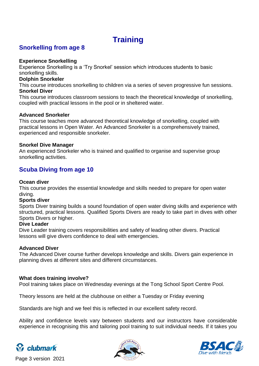# **Training**

# **Snorkelling from age 8**

#### **Experience Snorkelling**

Experience Snorkelling is a 'Try Snorkel' session which introduces students to basic snorkelling skills.

#### **Dolphin Snorkeler**

This course introduces snorkelling to children via a series of seven progressive fun sessions. **Snorkel Diver**

This course introduces classroom sessions to teach the theoretical knowledge of snorkelling, coupled with practical lessons in the pool or in sheltered water.

#### **Advanced Snorkeler**

This course teaches more advanced theoretical knowledge of snorkelling, coupled with practical lessons in Open Water. An Advanced Snorkeler is a comprehensively trained, experienced and responsible snorkeler.

#### **Snorkel Dive Manager**

An experienced Snorkeler who is trained and qualified to organise and supervise group snorkelling activities.

# **Scuba Diving from age 10**

#### **Ocean diver**

This course provides the essential knowledge and skills needed to prepare for open water diving.

#### **Sports diver**

Sports Diver training builds a sound foundation of open water diving skills and experience with structured, practical lessons. Qualified Sports Divers are ready to take part in dives with other Sports Divers or higher.

#### **Dive Leader**

Dive Leader training covers responsibilities and safety of leading other divers. Practical lessons will give divers confidence to deal with emergencies.

#### **Advanced Diver**

The Advanced Diver course further develops knowledge and skills. Divers gain experience in planning dives at different sites and different circumstances.

#### **What does training involve?**

Pool training takes place on Wednesday evenings at the Tong School Sport Centre Pool.

Theory lessons are held at the clubhouse on either a Tuesday or Friday evening

Standards are high and we feel this is reflected in our excellent safety record.

Ability and confidence levels vary between students and our instructors have considerable experience in recognising this and tailoring pool training to suit individual needs. If it takes you







Page 3 version 2021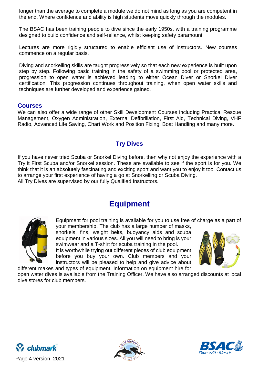longer than the average to complete a module we do not mind as long as you are competent in the end. Where confidence and ability is high students move quickly through the modules.

The BSAC has been training people to dive since the early 1950s, with a training programme designed to build confidence and self-reliance, whilst keeping safety paramount.

Lectures are more rigidly structured to enable efficient use of instructors. New courses commence on a regular basis.

Diving and snorkelling skills are taught progressively so that each new experience is built upon step by step. Following basic training in the safety of a swimming pool or protected area, progression to open water is achieved leading to either Ocean Diver or Snorkel Diver certification. This progression continues throughout training, when open water skills and techniques are further developed and experience gained.

#### **Courses**

We can also offer a wide range of other Skill Development Courses including Practical Rescue Management, Oxygen Administration, External Defibrillation, First Aid, Technical Diving, VHF Radio, Advanced Life Saving, Chart Work and Position Fixing, Boat Handling and many more.

# **Try Dives**

If you have never tried Scuba or Snorkel Diving before, then why not enjoy the experience with a Try it First Scuba and/or Snorkel session. These are available to see if the sport is for you. We think that it is an absolutely fascinating and exciting sport and want you to enjoy it too. Contact us to arrange your first experience of having a go at Snorkelling or Scuba Diving. All Try Dives are supervised by our fully Qualified Instructors.

# **Equipment**



Equipment for pool training is available for you to use free of charge as a part of your membership. The club has a large number of masks,

snorkels, fins, weight belts, buoyancy aids and scuba equipment in various sizes. All you will need to bring is your swimwear and a T-shirt for scuba training in the pool. It is worthwhile trying out different pieces of club equipment before you buy your own. Club members and your instructors will be pleased to help and give advice about different makes and types of equipment. Information on equipment hire for



open water dives is available from the Training Officer. We have also arranged discounts at local dive stores for club members.







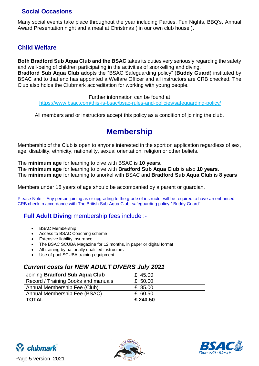# **Social Occasions**

Many social events take place throughout the year including Parties, Fun Nights, BBQ's, Annual Award Presentation night and a meal at Christmas ( in our own club house ).

## **Child Welfare**

**Both Bradford Sub Aqua Club and the BSAC** takes its duties very seriously regarding the safety and well-being of children participating in the activities of snorkelling and diving.

**Bradford Sub Aqua Club a**dopts the "BSAC Safeguarding policy" (**Buddy Guard**) instituted by BSAC and to that end has appointed a Welfare Officer and all instructors are CRB checked. The Club also holds the Clubmark accreditation for working with young people.

Further information can be found at

<https://www.bsac.com/this-is-bsac/bsac-rules-and-policies/safeguarding-policy/>

All members and or instructors accept this policy as a condition of joining the club.

# **Membership**

Membership of the Club is open to anyone interested in the sport on application regardless of sex, age, disability, ethnicity, nationality, sexual orientation, religion or other beliefs.

The **minimum age** for learning to dive with BSAC is **10 years**. The **minimum age** for learning to dive with **Bradford Sub Aqua Club** is also **10 years**. The **minimum age** for learning to snorkel with BSAC and **Bradford Sub Aqua Club** is **8 years**

Members under 18 years of age should be accompanied by a parent or guardian.

Please Note:- Any person joining as or upgrading to the grade of instructor will be required to have an enhanced CRB check in accordance with The British Sub-Aqua Club safeguarding policy " Buddy Guard".

## **Full Adult Diving** membership fees include :-

- BSAC Membership
- Access to BSAC Coaching scheme
- Extensive liability insurance
- The BSAC SCUBA Magazine for 12 months, in paper or digital format
- All training by nationally qualified instructors
- Use of pool SCUBA training equipment

### *Current costs for NEW ADULT DIVERS July 2021*

| Joining Bradford Sub Aqua Club      | £ 45.00  |
|-------------------------------------|----------|
| Record / Training Books and manuals | £ 50.00  |
| Annual Membership Fee (Club)        | £ 85.00  |
| Annual Membership Fee (BSAC)        | £ 60.50  |
| <b>TOTAL</b>                        | £ 240.50 |





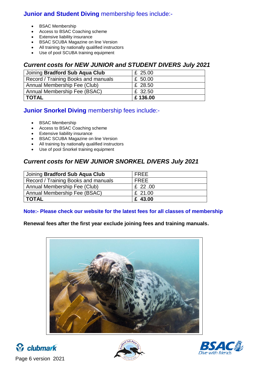# **Junior and Student Diving** membership fees include:-

- BSAC Membership
- Access to BSAC Coaching scheme
- Extensive liability insurance
- **BSAC SCUBA Magazine on line Version**
- All training by nationally qualified instructors
- Use of pool SCUBA training equipment

## *Current costs for NEW JUNIOR and STUDENT DIVERS July 2021*

| Joining Bradford Sub Aqua Club      | £ 25.00 |
|-------------------------------------|---------|
| Record / Training Books and manuals | £ 50.00 |
| Annual Membership Fee (Club)        | £ 28.50 |
| Annual Membership Fee (BSAC)        | £ 32.50 |
| TOTAL                               | £136.00 |

# **Junior Snorkel Diving** membership fees include:-

- BSAC Membership
- Access to BSAC Coaching scheme
- Extensive liability insurance
- **BSAC SCUBA Magazine on line Version**
- All training by nationally qualified instructors
- Use of pool Snorkel training equipment

# *Current costs for NEW JUNIOR SNORKEL DIVERS July 2021*

| Joining Bradford Sub Aqua Club      | <b>FREE</b> |
|-------------------------------------|-------------|
| Record / Training Books and manuals | FREE        |
| Annual Membership Fee (Club)        | £ 22.00     |
| Annual Membership Fee (BSAC)        | £ 21.00     |
| TOTAL                               | £ 43.00     |

#### **Note:- Please check our website for the latest fees for all classes of membership**

### **Renewal fees after the first year exclude joining fees and training manuals.**







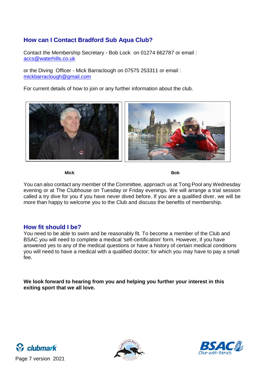# **How can I Contact Bradford Sub Aqua Club?**

Contact the Membership Secretary - Bob Lock on 01274 662787 or email : [accs@waterhills.co.uk](mailto:accs@waterhills.co.uk)

or the Diving Officer - Mick Barraclough on 07575 253311 or email : [mickbarraclough@gmail.com](mailto:mickbarraclough@gmail.com)

For current details of how to join or any further information about the club.



**Mick Bob**

You can also contact any member of the Committee, approach us at Tong Pool any Wednesday evening or at The Clubhouse on Tuesday or Friday evenings. We will arrange a trial session called a try dive for you if you have never dived before. If you are a qualified diver, we will be more than happy to welcome you to the Club and discuss the benefits of membership.

### **How fit should I be?**

You need to be able to swim and be reasonably fit. To become a member of the Club and BSAC you will need to complete a medical 'self-certification' form. However, if you have answered yes to any of the medical questions or have a history of certain medical conditions you will need to have a medical with a qualified doctor; for which you may have to pay a small fee.

**We look forward to hearing from you and helping you further your interest in this exiting sport that we all love.**







Page 7 version 2021